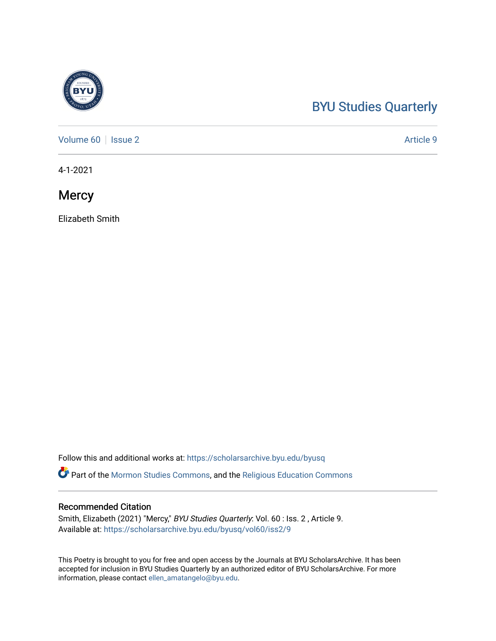## [BYU Studies Quarterly](https://scholarsarchive.byu.edu/byusq)

[Volume 60](https://scholarsarchive.byu.edu/byusq/vol60) | [Issue 2](https://scholarsarchive.byu.edu/byusq/vol60/iss2) Article 9

4-1-2021

**Mercy** 

Elizabeth Smith

Follow this and additional works at: [https://scholarsarchive.byu.edu/byusq](https://scholarsarchive.byu.edu/byusq?utm_source=scholarsarchive.byu.edu%2Fbyusq%2Fvol60%2Fiss2%2F9&utm_medium=PDF&utm_campaign=PDFCoverPages) 

Part of the [Mormon Studies Commons](http://network.bepress.com/hgg/discipline/1360?utm_source=scholarsarchive.byu.edu%2Fbyusq%2Fvol60%2Fiss2%2F9&utm_medium=PDF&utm_campaign=PDFCoverPages), and the [Religious Education Commons](http://network.bepress.com/hgg/discipline/1414?utm_source=scholarsarchive.byu.edu%2Fbyusq%2Fvol60%2Fiss2%2F9&utm_medium=PDF&utm_campaign=PDFCoverPages) 

## Recommended Citation

Smith, Elizabeth (2021) "Mercy," BYU Studies Quarterly: Vol. 60 : Iss. 2 , Article 9. Available at: [https://scholarsarchive.byu.edu/byusq/vol60/iss2/9](https://scholarsarchive.byu.edu/byusq/vol60/iss2/9?utm_source=scholarsarchive.byu.edu%2Fbyusq%2Fvol60%2Fiss2%2F9&utm_medium=PDF&utm_campaign=PDFCoverPages)

This Poetry is brought to you for free and open access by the Journals at BYU ScholarsArchive. It has been accepted for inclusion in BYU Studies Quarterly by an authorized editor of BYU ScholarsArchive. For more information, please contact [ellen\\_amatangelo@byu.edu.](mailto:ellen_amatangelo@byu.edu)